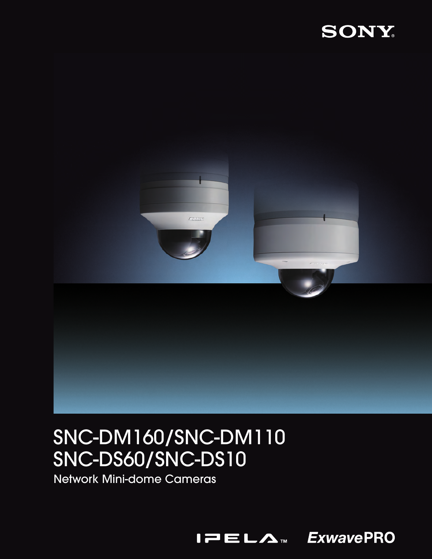



# SNC-DM160/SNC-DM110 SNC-DS60/SNC-DS10

Network Mini-dome Cameras

 $I = L \Lambda$ 

**ExwavePRO**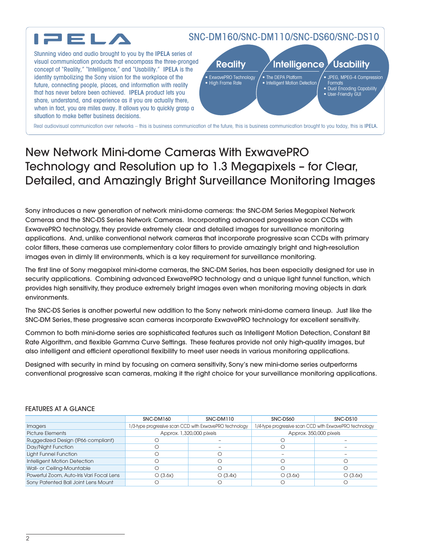

## New Network Mini-dome Cameras With ExwavePRO Technology and Resolution up to 1.3 Megapixels – for Clear, Detailed, and Amazingly Bright Surveillance Monitoring Images

Sony introduces a new generation of network mini-dome cameras: the SNC-DM Series Megapixel Network Cameras and the SNC-DS Series Network Cameras. Incorporating advanced progressive scan CCDs with ExwavePRO technology, they provide extremely clear and detailed images for surveillance monitoring applications. And, unlike conventional network cameras that incorporate progressive scan CCDs with primary color filters, these cameras use complementary color filters to provide amazingly bright and high-resolution images even in dimly lit environments, which is a key requirement for surveillance monitoring.

The first line of Sony megapixel mini-dome cameras, the SNC-DM Series, has been especially designed for use in security applications. Combining advanced ExwavePRO technology and a unique light funnel function, which provides high sensitivity, they produce extremely bright images even when monitoring moving objects in dark environments.

The SNC-DS Series is another powerful new addition to the Sony network mini-dome camera lineup. Just like the SNC-DM Series, these progressive scan cameras incorporate ExwavePRO technology for excellent sensitivity.

Common to both mini-dome series are sophisticated features such as Intelligent Motion Detection, Constant Bit Rate Algorithm, and flexible Gamma Curve Settings. These features provide not only high-quality images, but also intelligent and efficient operational flexibility to meet user needs in various monitoring applications.

Designed with security in mind by focusing on camera sensitivity, Sony's new mini-dome series outperforms conventional progressive scan cameras, making it the right choice for your surveillance monitoring applications.

|                                          | SNC-DM160                | SNC-DM110                                               | SNC-DS60                                                | SNC-DS10 |
|------------------------------------------|--------------------------|---------------------------------------------------------|---------------------------------------------------------|----------|
| <i>Imagers</i>                           |                          | 1/3-type progressive scan CCD with ExwavePRO technology | 1/4-type progressive scan CCD with ExwavePRO technology |          |
| <b>Picture Elements</b>                  | Approx. 1,320,000 pixels |                                                         | Approx. 350,000 pixels                                  |          |
| Ruggedized Design (IP66 compliant)       |                          |                                                         |                                                         |          |
| Day/Night Function                       |                          |                                                         |                                                         |          |
| Light Funnel Function                    |                          |                                                         |                                                         |          |
| Intelligent Motion Detection             |                          |                                                         |                                                         |          |
| Wall- or Ceiling-Mountable               |                          |                                                         | €                                                       |          |
| Powerful Zoom, Auto-Iris Vari Focal Lens | O(3.6x)                  | O(3.4x)                                                 | O(3.6x)                                                 | O(3.6x)  |
| Sony Patented Ball Joint Lens Mount      |                          |                                                         |                                                         |          |

#### FEATURES AT A GLANCE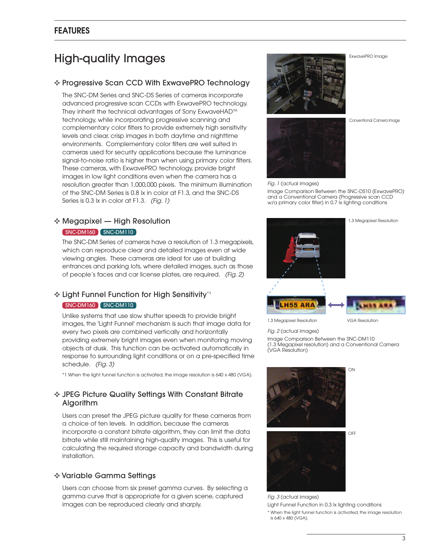## **FEATURES**

## High-quality Images

#### **✜** Progressive Scan CCD With ExwavePRO Technology

The SNC-DM Series and SNC-DS Series of cameras incorporate advanced progressive scan CCDs with ExwavePRO technology. They inherit the technical advantages of Sony ExwaveHAD<sup>™</sup> technology, while incorporating progressive scanning and complementary color filters to provide extremely high sensitivity levels and clear, crisp images in both daytime and nighttime environments. Complementary color filters are well suited in cameras used for security applications because the luminance signal-to-noise ratio is higher than when using primary color filters. These cameras, with ExwavePRO technology, provide bright images in low light conditions even when the camera has a resolution greater than 1,000,000 pixels. The minimum illumination of the SNC-DM Series is 0.8 lx in color at F1.3, and the SNC-DS Series is 0.3 lx in color at F1.3. *(Fig. 1)*

## **✜** Megapixel — High Resolution

#### SNC-DM160 SNC-DM110

The SNC-DM Series of cameras have a resolution of 1.3 megapixels, which can reproduce clear and detailed images even at wide viewing angles. These cameras are ideal for use at building entrances and parking lots, where detailed images, such as those of people's faces and car license plates, are required. *(Fig. 2)*

## **✜** Light Funnel Function for High Sensitivity\*1 SNC-DM160 SNC-DM110

Unlike systems that use slow shutter speeds to provide bright images, the 'Light Funnel' mechanism is such that image data for every two pixels are combined vertically and horizontally providing extremely bright images even when monitoring moving objects at dusk. This function can be activated automatically in response to surrounding light conditions or on a pre-specified time schedule. *(Fig. 3)*

\*1 When the light funnel function is activated, the image resolution is 640 x 480 (VGA).

#### **✜** JPEG Picture Quality Settings With Constant Bitrate Algorithm

Users can preset the JPEG picture quality for these cameras from a choice of ten levels. In addition, because the cameras incorporate a constant bitrate algorithm, they can limit the data bitrate while still maintaining high-quality images. This is useful for calculating the required storage capacity and bandwidth during installation.

#### **✜** Variable Gamma Settings

Users can choose from six preset gamma curves. By selecting a gamma curve that is appropriate for a given scene, captured images can be reproduced clearly and sharply.



Conventional Camera Image

ExwavePRO Image



*Fig. 1* (actual images)

Image Comparison Between the SNC-DS10 (ExwavePRO) and a Conventional Camera (Progressive scan CCD w/a primary color filter) in 0.7 lx lighting conditions



*Fig. 2* (actual images)

Image Comparison Between the SNC-DM110 (1.3 Megapixel resolution) and a Conventional Camera (VGA Resolution)





*Fig. 3* (actual images) Light Funnel Function in 0.3 lx lighting conditions \* When the light funnel function is activated, the image resolution is 640 x 480 (VGA).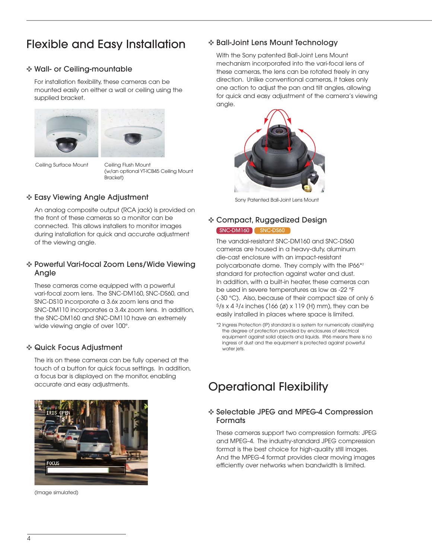## Flexible and Easy Installation

## **✜** Wall- or Ceiling-mountable

For installation flexibility, these cameras can be mounted easily on either a wall or ceiling using the supplied bracket.





Ceiling Surface Mount Ceiling Flush Mount

(w/an optional YT-ICB45 Ceiling Mount Bracket)

## **✜** Easy Viewing Angle Adjustment

An analog composite output (RCA jack) is provided on the front of these cameras so a monitor can be connected. This allows installers to monitor images during installation for quick and accurate adjustment of the viewing angle.

## **✜** Powerful Vari-focal Zoom Lens/Wide Viewing Angle

These cameras come equipped with a powerful vari-focal zoom lens. The SNC-DM160, SNC-DS60, and SNC-DS10 incorporate a 3.6x zoom lens and the SNC-DM110 incorporates a 3.4x zoom lens. In addition, the SNC-DM160 and SNC-DM110 have an extremely wide viewing angle of over 100°.

### **✜** Quick Focus Adjustment

The iris on these cameras can be fully opened at the touch of a button for quick focus settings. In addition, a focus bar is displayed on the monitor, enabling accurate and easy adjustments.



(Image simulated)

## **✜** Ball-Joint Lens Mount Technology

With the Sony patented Ball-Joint Lens Mount mechanism incorporated into the vari-focal lens of these cameras, the lens can be rotated freely in any direction. Unlike conventional cameras, it takes only one action to adjust the pan and tilt angles, allowing for quick and easy adjustment of the camera's viewing angle.



Sony Patented Ball-Joint Lens Mount

## **✜** Compact, Ruggedized Design SNC-DM160 SNC-DS60

The vandal-resistant SNC-DM160 and SNC-DS60 cameras are housed in a heavy-duty, aluminum die-cast enclosure with an impact-resistant polycarbonate dome. They comply with the IP66\*2 standard for protection against water and dust. In addition, with a built-in heater, these cameras can be used in severe temperatures as low as -22 °F (-30 °C). Also, because of their compact size of only 6 5/8 x 4 3/4 inches (166 (ø) x 119 (H) mm), they can be easily installed in places where space is limited.

## Operational Flexibility

## **✜** Selectable JPEG and MPEG-4 Compression **Formats**

These cameras support two compression formats: JPEG and MPEG-4. The industry-standard JPEG compression format is the best choice for high-quality still images. And the MPEG-4 format provides clear moving images efficiently over networks when bandwidth is limited.

<sup>\*2</sup> Ingress Protection (IP) standard is a system for numerically classifying the degree of protection provided by enclosures of electrical equipment against solid objects and liquids. IP66 means there is no ingress of dust and the equipment is protected against powerful water jets.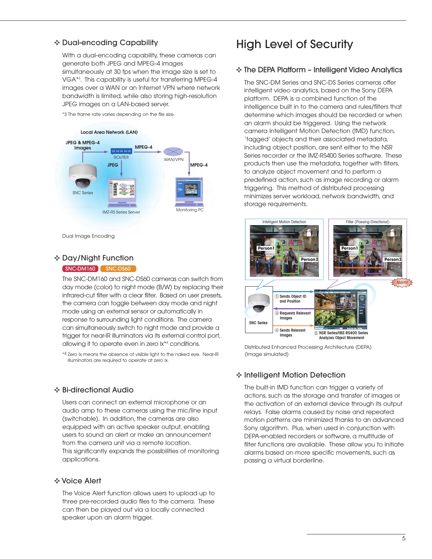## **✜** Dual-encoding Capability

With a dual-encoding capability, these cameras can generate both JPEG and MPEG-4 images simultaneously at 30 fps when the image size is set to VGA\*3 . This capability is useful for transferring MPEG-4 images over a WAN or an Internet VPN where network bandwidth is limited, while also storing high-resolution JPEG images on a LAN-based server.

\*3 The frame rate varies depending on the file size.



Dual Image Encoding

### **✜** Day/Night Function

#### SNC-DM160 SNC-DS60

The SNC-DM160 and SNC-DS60 cameras can switch from day mode (color) to night mode (B/W) by replacing their infrared-cut filter with a clear filter. Based on user presets, the camera can toggle between day mode and night mode using an external sensor or automatically in response to surrounding light conditions. The camera can simultaneously switch to night mode and provide a trigger for near-IR illuminators via its external control port, allowing it to operate even in zero lx\*4 conditions.

\*4 Zero lx means the absence of visible light to the naked eye. Near-IR illuminators are required to operate at zero lx.

### **✜** Bi-directional Audio

Users can connect an external microphone or an audio amp to these cameras using the mic/line input (switchable). In addition, the cameras are also equipped with an active speaker output, enabling users to sound an alert or make an announcement from the camera unit via a remote location. This significantly expands the possibilities of monitoring applications.

#### **✜** Voice Alert

The Voice Alert function allows users to upload up to three pre-recorded audio files to the camera. These can then be played out via a locally connected speaker upon an alarm trigger.

## High Level of Security

## **✜** The DEPA Platform – Intelligent Video Analytics

The SNC-DM Series and SNC-DS Series cameras offer intelligent video analytics, based on the Sony DEPA platform. DEPA is a combined function of the intelligence built in to the camera and rules/filters that determine which images should be recorded or when an alarm should be triggered. Using the network camera Intelligent Motion Detection (IMD) function, 'tagged' objects and their associated metadata, including object position, are sent either to the NSR Series recorder or the IMZ-RS400 Series software. These products then use the metadata, together with filters, to analyze object movement and to perform a predefined action, such as image recording or alarm triggering. This method of distributed processing minimizes server workload, network bandwidth, and storage requirements.



Distributed Enhanced Processing Architecture (DEPA) (Image simulated)

## **✜** Intelligent Motion Detection

The built-in IMD function can trigger a variety of actions, such as the storage and transfer of images or the activation of an external device through its output relays. False alarms caused by noise and repeated motion patterns are minimized thanks to an advanced Sony algorithm. Plus, when used in conjunction with DEPA-enabled recorders or software, a multitude of filter functions are available. These allow you to initiate alarms based on more specific movements, such as passing a virtual borderline.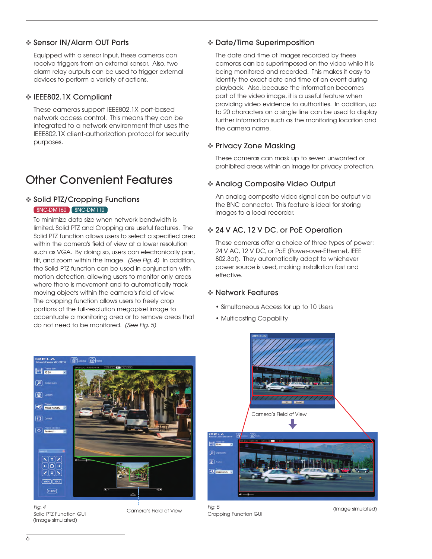## **✜** Sensor IN/Alarm OUT Ports

Equipped with a sensor input, these cameras can receive triggers from an external sensor. Also, two alarm relay outputs can be used to trigger external devices to perform a variety of actions.

### **✜** IEEE802.1X Compliant

These cameras support IEEE802.1X port-based network access control. This means they can be integrated to a network environment that uses the IEEE802.1X client-authorization protocol for security purposes.

## Other Convenient Features

## **✜** Solid PTZ/Cropping Functions SNC-DM160 SNC-DM110

To minimize data size when network bandwidth is limited, Solid PTZ and Cropping are useful features. The Solid PTZ function allows users to select a specified area within the camera's field of view at a lower resolution such as VGA. By doing so, users can electronically pan, tilt, and zoom within the image. *(See Fig. 4)* In addition, the Solid PTZ function can be used in conjunction with motion detection, allowing users to monitor only areas where there is movement and to automatically track moving objects within the camera's field of view. The cropping function allows users to freely crop portions of the full-resolution megapixel image to accentuate a monitoring area or to remove areas that do not need to be monitored. *(See Fig. 5)*

## **✜** Date/Time Superimposition

The date and time of images recorded by these cameras can be superimposed on the video while it is being monitored and recorded. This makes it easy to identify the exact date and time of an event during playback. Also, because the information becomes part of the video image, it is a useful feature when providing video evidence to authorities. In addition, up to 20 characters on a single line can be used to display further information such as the monitoring location and the camera name.

## **✜** Privacy Zone Masking

These cameras can mask up to seven unwanted or prohibited areas within an image for privacy protection.

## **✜** Analog Composite Video Output

An analog composite video signal can be output via the BNC connector. This feature is ideal for storing images to a local recorder.

## **✜** 24 V AC, 12 V DC, or PoE Operation

These cameras offer a choice of three types of power: 24 V AC, 12 V DC, or PoE (Power-over-Ethernet, IEEE 802.3af). They automatically adapt to whichever power source is used, making installation fast and effective.

### **✜** Network Features

- Simultaneous Access for up to 10 Users
- Multicasting Capability



*Fig. 4* Solid PTZ Function GUI (Image simulated)

Camera's Field of View



*Fig. 5* Cropping Function GUI

(Image simulated)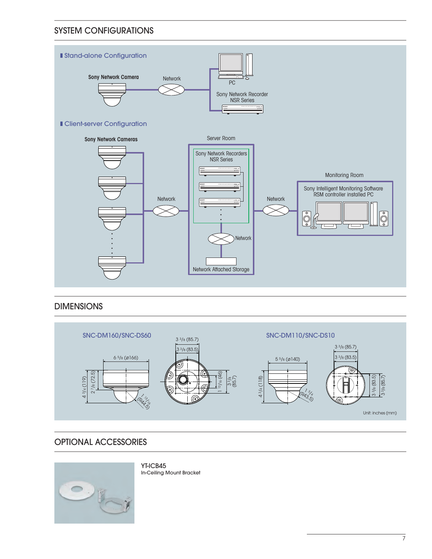## SYSTEM CONFIGURATIONS



## DIMENSIONS



## OPTIONAL ACCESSORIES



YT-ICB45 In-Ceiling Mount Bracket